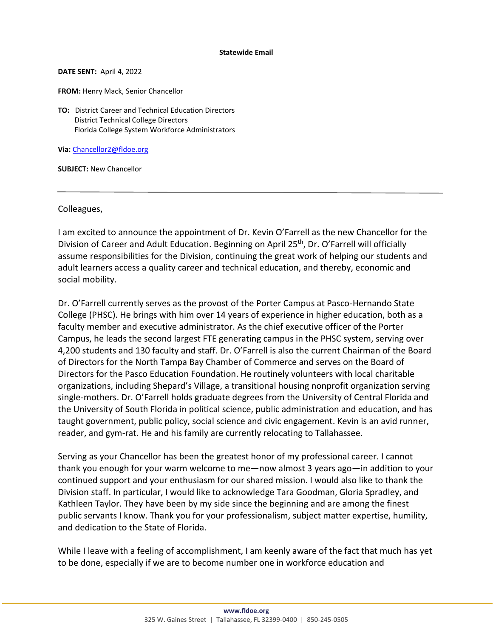## **Statewide Email**

**DATE SENT:** April 4, 2022

**FROM: Henry Mack, Senior Chancellor** 

**TO:** District Career and Technical Education Directors District Technical College Directors Florida College System Workforce Administrators

**Via:** [Chancellor2@fldoe.org](mailto:Chancellor2@fldoe.org)

**SUBJECT:** New Chancellor

Colleagues,

I am excited to announce the appointment of Dr. Kevin O'Farrell as the new Chancellor for the Division of Career and Adult Education. Beginning on April 25<sup>th</sup>, Dr. O'Farrell will officially assume responsibilities for the Division, continuing the great work of helping our students and adult learners access a quality career and technical education, and thereby, economic and social mobility.

Dr. O'Farrell currently serves as the provost of the Porter Campus at Pasco-Hernando State College (PHSC). He brings with him over 14 years of experience in higher education, both as a faculty member and executive administrator. As the chief executive officer of the Porter Campus, he leads the second largest FTE generating campus in the PHSC system, serving over 4,200 students and 130 faculty and staff. Dr. O'Farrell is also the current Chairman of the Board of Directors for the North Tampa Bay Chamber of Commerce and serves on the Board of Directors for the Pasco Education Foundation. He routinely volunteers with local charitable organizations, including Shepard's Village, a transitional housing nonprofit organization serving single-mothers. Dr. O'Farrell holds graduate degrees from the University of Central Florida and the University of South Florida in political science, public administration and education, and has taught government, public policy, social science and civic engagement. Kevin is an avid runner, reader, and gym-rat. He and his family are currently relocating to Tallahassee.

Serving as your Chancellor has been the greatest honor of my professional career. I cannot thank you enough for your warm welcome to me—now almost 3 years ago—in addition to your continued support and your enthusiasm for our shared mission. I would also like to thank the Division staff. In particular, I would like to acknowledge Tara Goodman, Gloria Spradley, and Kathleen Taylor. They have been by my side since the beginning and are among the finest public servants I know. Thank you for your professionalism, subject matter expertise, humility, and dedication to the State of Florida.

While I leave with a feeling of accomplishment, I am keenly aware of the fact that much has yet to be done, especially if we are to become number one in workforce education and